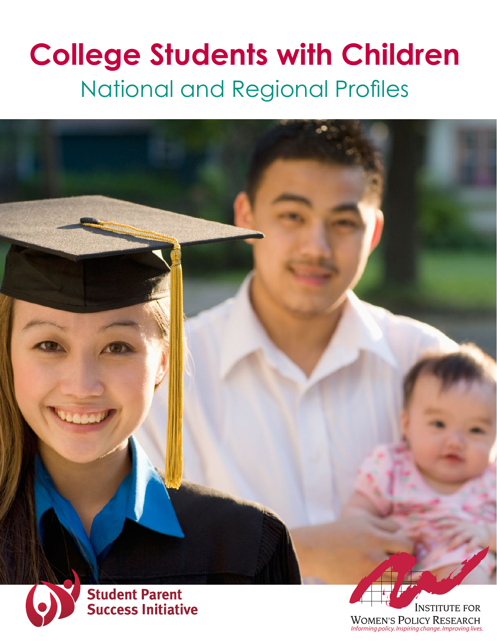# **College Students with Children** National and Regional Profiles



**INSTITUTE FOR WOMEN'S POLICY RESEARCH** *Informing policy. Inspiring change. Improving lives.*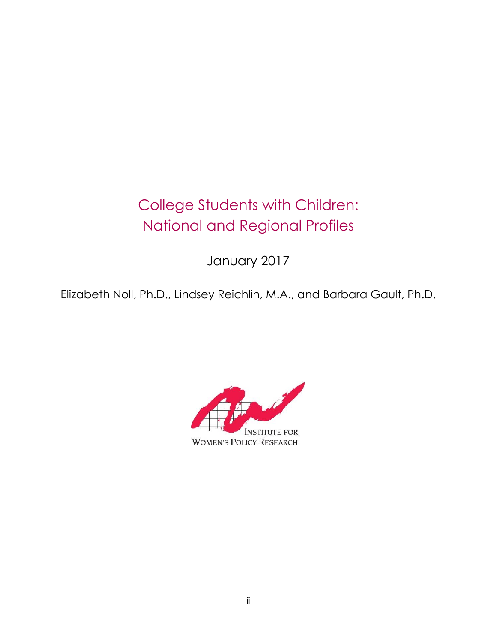# College Students with Children: National and Regional Profiles

January 2017

Elizabeth Noll, Ph.D., Lindsey Reichlin, M.A., and Barbara Gault, Ph.D.

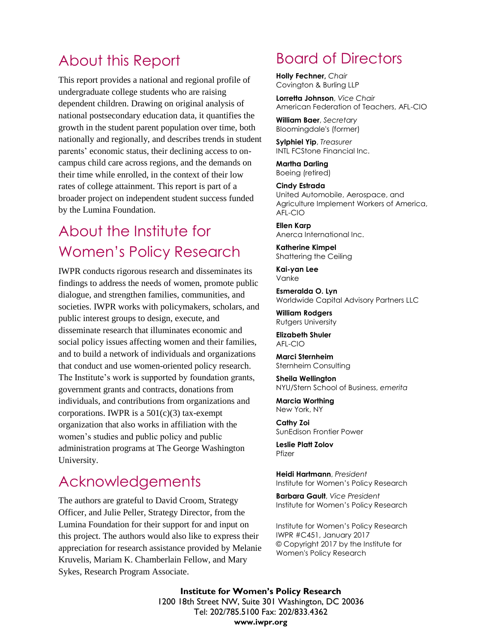### About this Report

This report provides a national and regional profile of undergraduate college students who are raising dependent children. Drawing on original analysis of national postsecondary education data, it quantifies the growth in the student parent population over time, both nationally and regionally, and describes trends in student parents' economic status, their declining access to oncampus child care across regions, and the demands on their time while enrolled, in the context of their low rates of college attainment. This report is part of a broader project on independent student success funded by the Lumina Foundation.

# About the Institute for Women's Policy Research

IWPR conducts rigorous research and disseminates its findings to address the needs of women, promote public dialogue, and strengthen families, communities, and societies. IWPR works with policymakers, scholars, and public interest groups to design, execute, and disseminate research that illuminates economic and social policy issues affecting women and their families, and to build a network of individuals and organizations that conduct and use women-oriented policy research. The Institute's work is supported by foundation grants, government grants and contracts, donations from individuals, and contributions from organizations and corporations. IWPR is a  $501(c)(3)$  tax-exempt organization that also works in affiliation with the women's studies and public policy and public administration programs at The George Washington University.

### Acknowledgements

The authors are grateful to David Croom, Strategy Officer, and Julie Peller, Strategy Director, from the Lumina Foundation for their support for and input on this project. The authors would also like to express their appreciation for research assistance provided by Melanie Kruvelis, Mariam K. Chamberlain Fellow, and Mary Sykes, Research Program Associate.

### Board of Directors

**Holly Fechner,** *Chair* Covington & Burling LLP

**Lorretta Johnson**, *Vice Chair* American Federation of Teachers, AFL-CIO

**William Baer**, *Secretary* Bloomingdale's (former)

**Sylphiel Yip**, *Treasurer* INTL FCStone Financial Inc.

**Martha Darling** Boeing (retired)

**Cindy Estrada** United Automobile, Aerospace, and Agriculture Implement Workers of America, AFL-CIO

**Ellen Karp** Anerca International Inc.

**Katherine Kimpel** Shattering the Ceiling

**Kai-yan Lee** Vanke

**Esmeralda O. Lyn** Worldwide Capital Advisory Partners LLC

**William Rodgers** Rutgers University

**Elizabeth Shuler** AFL-CIO

**Marci Sternheim** Sternheim Consulting

**Sheila Wellington** NYU/Stern School of Business, *emerita*

**Marcia Worthing** New York, NY

**Cathy Zoi** SunEdison Frontier Power

**Leslie Platt Zolov** Pfizer

**Heidi Hartmann**, *President*  Institute for Women's Policy Research

**Barbara Gault**, *Vice President* Institute for Women's Policy Research

Institute for Women's Policy Research IWPR #C451, January 2017 © Copyright 2017 by the Institute for Women's Policy Research

1200 18th Street NW, Suite 301 Washington, DC 20036 **Institute for Women's Policy Research**  Tel: 202/785.5100 Fax: 202/833.4362 **www.iwpr.org**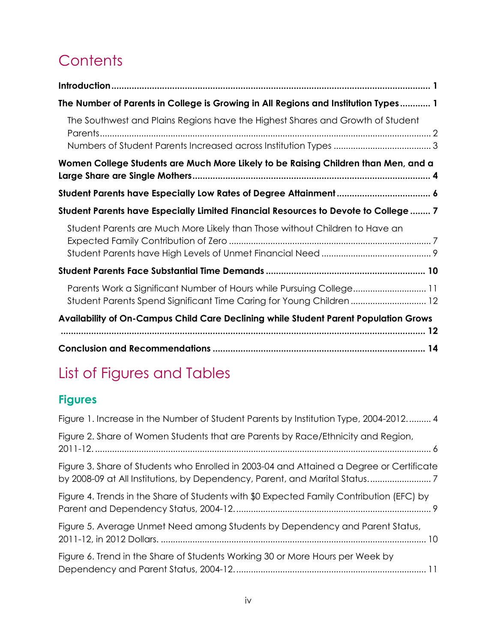# **Contents**

| The Number of Parents in College is Growing in All Regions and Institution Types 1                                                          |
|---------------------------------------------------------------------------------------------------------------------------------------------|
| The Southwest and Plains Regions have the Highest Shares and Growth of Student                                                              |
|                                                                                                                                             |
| Women College Students are Much More Likely to be Raising Children than Men, and a                                                          |
|                                                                                                                                             |
| Student Parents have Especially Limited Financial Resources to Devote to College  7                                                         |
| Student Parents are Much More Likely than Those without Children to Have an                                                                 |
|                                                                                                                                             |
|                                                                                                                                             |
| Parents Work a Significant Number of Hours while Pursuing College 11<br>Student Parents Spend Significant Time Caring for Young Children 12 |
| Availability of On-Campus Child Care Declining while Student Parent Population Grows                                                        |
|                                                                                                                                             |

# List of Figures and Tables

### **Figures**

| Figure 1. Increase in the Number of Student Parents by Institution Type, 2004-2012 4                                                                                   |
|------------------------------------------------------------------------------------------------------------------------------------------------------------------------|
| Figure 2. Share of Women Students that are Parents by Race/Ethnicity and Region,                                                                                       |
| Figure 3. Share of Students who Enrolled in 2003-04 and Attained a Degree or Certificate<br>by 2008-09 at All Institutions, by Dependency, Parent, and Marital Status7 |
| Figure 4. Trends in the Share of Students with \$0 Expected Family Contribution (EFC) by                                                                               |
| Figure 5. Average Unmet Need among Students by Dependency and Parent Status,                                                                                           |
| Figure 6. Trend in the Share of Students Working 30 or More Hours per Week by                                                                                          |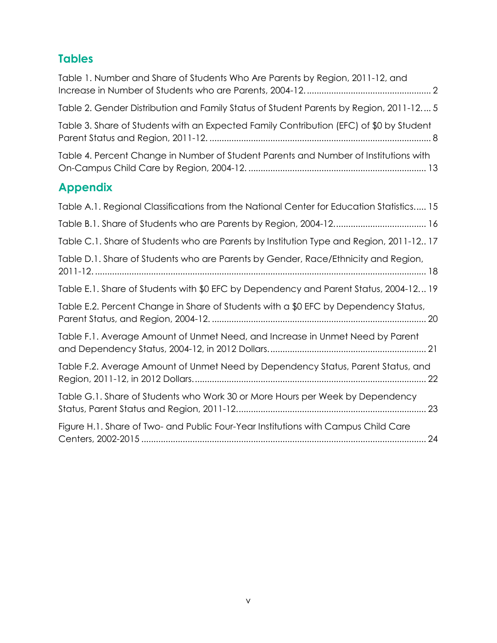#### **Tables**

| Table 1. Number and Share of Students Who Are Parents by Region, 2011-12, and            |
|------------------------------------------------------------------------------------------|
| Table 2. Gender Distribution and Family Status of Student Parents by Region, 2011-12 5   |
| Table 3. Share of Students with an Expected Family Contribution (EFC) of \$0 by Student  |
| Table 4. Percent Change in Number of Student Parents and Number of Institutions with     |
| <b>Appendix</b>                                                                          |
| Table A.1. Regional Classifications from the National Center for Education Statistics 15 |
|                                                                                          |
| Table C.1. Share of Students who are Parents by Institution Type and Region, 2011-12 17  |
| Table D.1. Share of Students who are Parents by Gender, Race/Ethnicity and Region,       |
| Table E.1. Share of Students with \$0 EFC by Dependency and Parent Status, 2004-12 19    |
| Table E.2. Percent Change in Share of Students with a \$0 EFC by Dependency Status,      |
| Table F.1. Average Amount of Unmet Need, and Increase in Unmet Need by Parent            |
| Table F.2. Average Amount of Unmet Need by Dependency Status, Parent Status, and         |
| Table G.1. Share of Students who Work 30 or More Hours per Week by Dependency            |
| Figure H.1. Share of Two- and Public Four-Year Institutions with Campus Child Care       |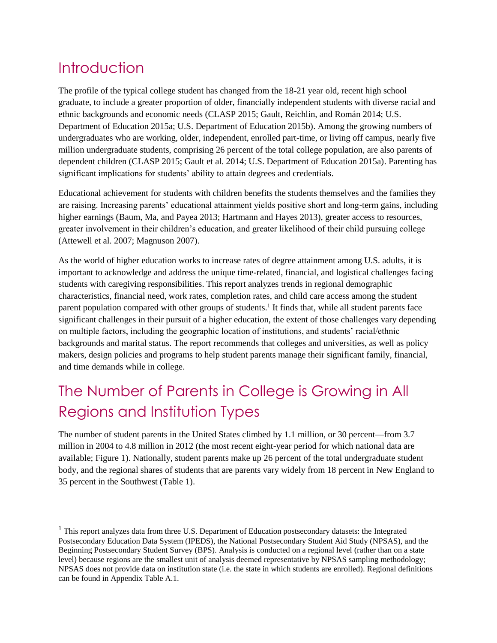# <span id="page-5-0"></span>**Introduction**

l

The profile of the typical college student has changed from the 18-21 year old, recent high school graduate, to include a greater proportion of older, financially independent students with diverse racial and ethnic backgrounds and economic needs (CLASP 2015; Gault, Reichlin, and Román 2014; U.S. Department of Education 2015a; U.S. Department of Education 2015b). Among the growing numbers of undergraduates who are working, older, independent, enrolled part-time, or living off campus, nearly five million undergraduate students, comprising 26 percent of the total college population, are also parents of dependent children (CLASP 2015; Gault et al. 2014; U.S. Department of Education 2015a). Parenting has significant implications for students' ability to attain degrees and credentials.

Educational achievement for students with children benefits the students themselves and the families they are raising. Increasing parents' educational attainment yields positive short and long-term gains, including higher earnings (Baum, Ma, and Payea 2013; Hartmann and Hayes 2013), greater access to resources, greater involvement in their children's education, and greater likelihood of their child pursuing college (Attewell et al. 2007; Magnuson 2007).

As the world of higher education works to increase rates of degree attainment among U.S. adults, it is important to acknowledge and address the unique time-related, financial, and logistical challenges facing students with caregiving responsibilities. This report analyzes trends in regional demographic characteristics, financial need, work rates, completion rates, and child care access among the student parent population compared with other groups of students.<sup>1</sup> It finds that, while all student parents face significant challenges in their pursuit of a higher education, the extent of those challenges vary depending on multiple factors, including the geographic location of institutions, and students' racial/ethnic backgrounds and marital status. The report recommends that colleges and universities, as well as policy makers, design policies and programs to help student parents manage their significant family, financial, and time demands while in college.

# <span id="page-5-1"></span>The Number of Parents in College is Growing in All Regions and Institution Types

The number of student parents in the United States climbed by 1.1 million, or 30 percent—from 3.7 million in 2004 to 4.8 million in 2012 (the most recent eight-year period for which national data are available; Figure 1). Nationally, student parents make up 26 percent of the total undergraduate student body, and the regional shares of students that are parents vary widely from 18 percent in New England to 35 percent in the Southwest (Table 1).

 $<sup>1</sup>$  This report analyzes data from three U.S. Department of Education postsecondary datasets: the Integrated</sup> Postsecondary Education Data System (IPEDS), the National Postsecondary Student Aid Study (NPSAS), and the Beginning Postsecondary Student Survey (BPS). Analysis is conducted on a regional level (rather than on a state level) because regions are the smallest unit of analysis deemed representative by NPSAS sampling methodology; NPSAS does not provide data on institution state (i.e. the state in which students are enrolled). Regional definitions can be found in Appendix Table A.1.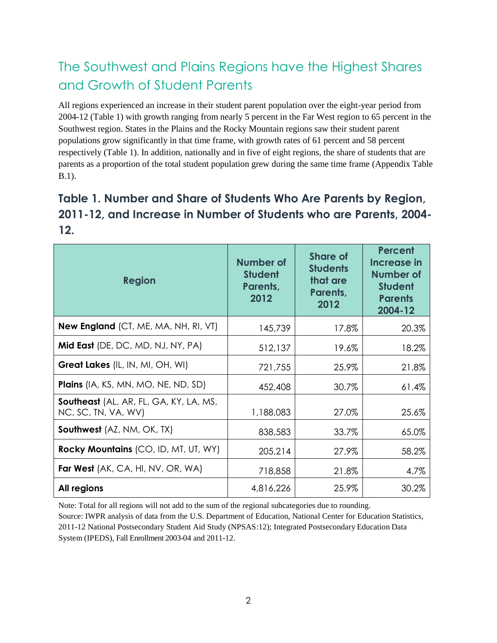### <span id="page-6-0"></span>The Southwest and Plains Regions have the Highest Shares and Growth of Student Parents

All regions experienced an increase in their student parent population over the eight-year period from 2004-12 (Table 1) with growth ranging from nearly 5 percent in the Far West region to 65 percent in the Southwest region. States in the Plains and the Rocky Mountain regions saw their student parent populations grow significantly in that time frame, with growth rates of 61 percent and 58 percent respectively (Table 1). In addition, nationally and in five of eight regions, the share of students that are parents as a proportion of the total student population grew during the same time frame (Appendix Table B.1).

### <span id="page-6-1"></span>**Table 1. Number and Share of Students Who Are Parents by Region, 2011-12, and Increase in Number of Students who are Parents, 2004- 12.**

| <b>Region</b>                                                 | Number of<br><b>Student</b><br>Parents,<br>2012 | <b>Share of</b><br><b>Students</b><br>that are<br>Parents,<br>2012 | <b>Percent</b><br>Increase in<br><b>Number of</b><br><b>Student</b><br><b>Parents</b><br>2004-12 |
|---------------------------------------------------------------|-------------------------------------------------|--------------------------------------------------------------------|--------------------------------------------------------------------------------------------------|
| <b>New England</b> (CT, ME, MA, NH, RI, VT)                   | 145,739                                         | 17.8%                                                              | 20.3%                                                                                            |
| Mid East (DE, DC, MD, NJ, NY, PA)                             | 512,137                                         | 19.6%                                                              | 18.2%                                                                                            |
| <b>Great Lakes</b> (IL, IN, MI, OH, WI)                       | 721,755                                         | 25.9%                                                              | 21.8%                                                                                            |
| <b>Plains</b> (IA, KS, MN, MO, NE, ND, SD)                    | 452,408                                         | 30.7%                                                              | 61.4%                                                                                            |
| Southeast (AL, AR, FL, GA, KY, LA, MS,<br>NC, SC, TN, VA, WV) | 1,188,083                                       | 27.0%                                                              | 25.6%                                                                                            |
| <b>Southwest</b> (AZ, NM, OK, TX)                             | 838,583                                         | 33.7%                                                              | 65.0%                                                                                            |
| Rocky Mountains (CO, ID, MT, UT, WY)                          | 205,214                                         | 27.9%                                                              | 58.2%                                                                                            |
| <b>Far West</b> (AK, CA, HI, NV, OR, WA)                      | 718,858                                         | 21.8%                                                              | 4.7%                                                                                             |
| All regions                                                   | 4,816,226                                       | 25.9%                                                              | 30.2%                                                                                            |

Note: Total for all regions will not add to the sum of the regional subcategories due to rounding. Source: IWPR analysis of data from the U.S. Department of Education, National Center for Education Statistics, 2011-12 National Postsecondary Student Aid Study (NPSAS:12); Integrated Postsecondary Education Data System (IPEDS), Fall Enrollment 2003-04 and 2011-12.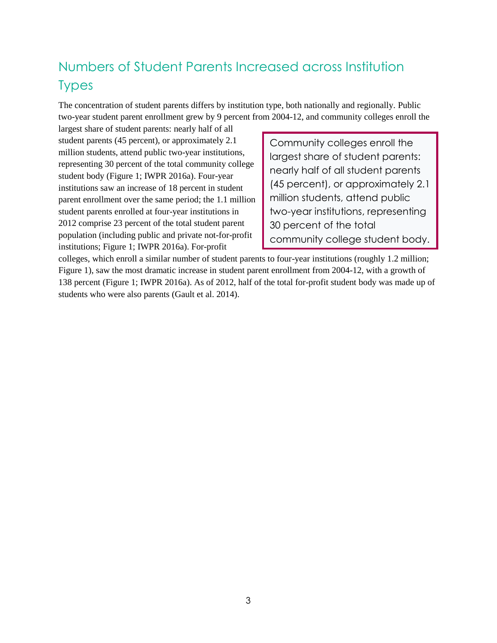### <span id="page-7-0"></span>Numbers of Student Parents Increased across Institution Types

The concentration of student parents differs by institution type, both nationally and regionally. Public two-year student parent enrollment grew by 9 percent from 2004-12, and community colleges enroll the

largest share of student parents: nearly half of all student parents (45 percent), or approximately 2.1 million students, attend public two-year institutions, representing 30 percent of the total community college student body (Figure 1; IWPR 2016a). Four-year institutions saw an increase of 18 percent in student parent enrollment over the same period; the 1.1 million student parents enrolled at four-year institutions in 2012 comprise 23 percent of the total student parent population (including public and private not-for-profit institutions; Figure 1; IWPR 2016a). For-profit

Community colleges enroll the largest share of student parents: nearly half of all student parents (45 percent), or approximately 2.1 million students, attend public two-year institutions, representing 30 percent of the total community college student body.

colleges, which enroll a similar number of student parents to four-year institutions (roughly 1.2 million; Figure 1), saw the most dramatic increase in student parent enrollment from 2004-12, with a growth of 138 percent (Figure 1; IWPR 2016a). As of 2012, half of the total for-profit student body was made up of students who were also parents (Gault et al. 2014).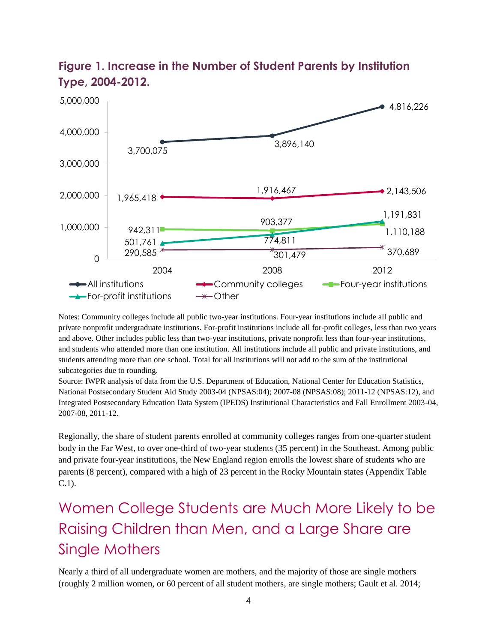

#### <span id="page-8-1"></span>**Figure 1. Increase in the Number of Student Parents by Institution Type, 2004-2012.**

Notes: Community colleges include all public two-year institutions. Four-year institutions include all public and private nonprofit undergraduate institutions. For-profit institutions include all for-profit colleges, less than two years and above. Other includes public less than two-year institutions, private nonprofit less than four-year institutions, and students who attended more than one institution. All institutions include all public and private institutions, and students attending more than one school. Total for all institutions will not add to the sum of the institutional subcategories due to rounding.

Source: IWPR analysis of data from the U.S. Department of Education, National Center for Education Statistics, National Postsecondary Student Aid Study 2003-04 (NPSAS:04); 2007-08 (NPSAS:08); 2011-12 (NPSAS:12), and Integrated Postsecondary Education Data System (IPEDS) Institutional Characteristics and Fall Enrollment 2003-04, 2007-08, 2011-12.

Regionally, the share of student parents enrolled at community colleges ranges from one-quarter student body in the Far West, to over one-third of two-year students (35 percent) in the Southeast. Among public and private four-year institutions, the New England region enrolls the lowest share of students who are parents (8 percent), compared with a high of 23 percent in the Rocky Mountain states (Appendix Table C.1).

# <span id="page-8-0"></span>Women College Students are Much More Likely to be Raising Children than Men, and a Large Share are Single Mothers

Nearly a third of all undergraduate women are mothers, and the majority of those are single mothers (roughly 2 million women, or 60 percent of all student mothers, are single mothers; Gault et al. 2014;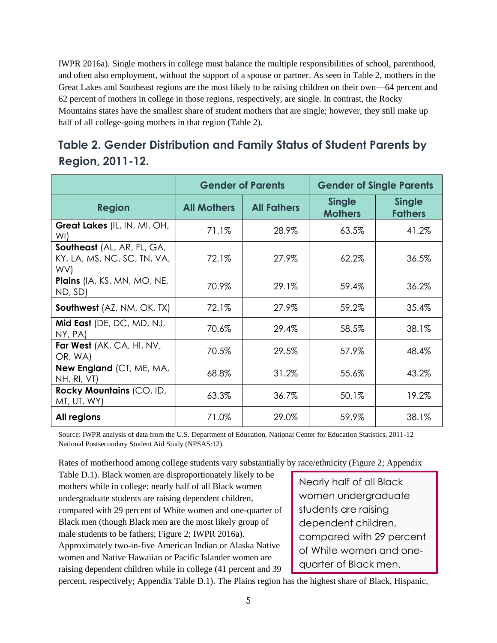IWPR 2016a). Single mothers in college must balance the multiple responsibilities of school, parenthood, and often also employment, without the support of a spouse or partner. As seen in Table 2, mothers in the Great Lakes and Southeast regions are the most likely to be raising children on their own—64 percent and 62 percent of mothers in college in those regions, respectively, are single. In contrast, the Rocky Mountains states have the smallest share of student mothers that are single; however, they still make up half of all college-going mothers in that region (Table 2).

#### <span id="page-9-0"></span>**Table 2. Gender Distribution and Family Status of Student Parents by Region, 2011-12.**

|                                                                  | <b>Gender of Parents</b> |                    | <b>Gender of Single Parents</b> |                                 |  |
|------------------------------------------------------------------|--------------------------|--------------------|---------------------------------|---------------------------------|--|
| <b>Region</b>                                                    | <b>All Mothers</b>       | <b>All Fathers</b> | <b>Single</b><br><b>Mothers</b> | <b>Single</b><br><b>Fathers</b> |  |
| <b>Great Lakes</b> (IL, IN, MI, OH,<br>WI)                       | 71.1%                    | 28.9%              | 63.5%                           | 41.2%                           |  |
| Southeast (AL, AR, FL, GA,<br>KY, LA, MS, NC, SC, TN, VA,<br>WV) | 72.1%                    | 27.9%              | 62.2%                           | 36.5%                           |  |
| Plains (IA, KS, MN, MO, NE,<br>ND, SD)                           | 70.9%                    | 29.1%              | 59.4%                           | 36.2%                           |  |
| <b>Southwest</b> (AZ, NM, OK, TX)                                | 72.1%                    | 27.9%              | 59.2%                           | 35.4%                           |  |
| Mid East (DE, DC, MD, NJ,<br>NY, PA)                             | 70.6%                    | 29.4%              | 58.5%                           | 38.1%                           |  |
| Far West (AK, CA, HI, NV,<br>OR, WA)                             | 70.5%                    | 29.5%              | 57.9%                           | 48.4%                           |  |
| <b>New England (CT, ME, MA,</b><br>NH, RI, VT)                   | 68.8%                    | 31.2%              | 55.6%                           | 43.2%                           |  |
| Rocky Mountains (CO, ID,<br>MT, UT, WY)                          | 63.3%                    | 36.7%              | 50.1%                           | 19.2%                           |  |
| All regions                                                      | 71.0%                    | 29.0%              | 59.9%                           | 38.1%                           |  |

Source: IWPR analysis of data from the U.S. Department of Education, National Center for Education Statistics, 2011-12 National Postsecondary Student Aid Study (NPSAS:12).

Rates of motherhood among college students vary substantially by race/ethnicity (Figure 2; Appendix

Table D.1). Black women are disproportionately likely to be mothers while in college: nearly half of all Black women undergraduate students are raising dependent children, compared with 29 percent of White women and one-quarter of Black men (though Black men are the most likely group of male students to be fathers; Figure 2; IWPR 2016a). Approximately two-in-five American Indian or Alaska Native women and Native Hawaiian or Pacific Islander women are raising dependent children while in college (41 percent and 39

Nearly half of all Black women undergraduate students are raising dependent children, compared with 29 percent of White women and onequarter of Black men.

percent, respectively; Appendix Table D.1). The Plains region has the highest share of Black, Hispanic,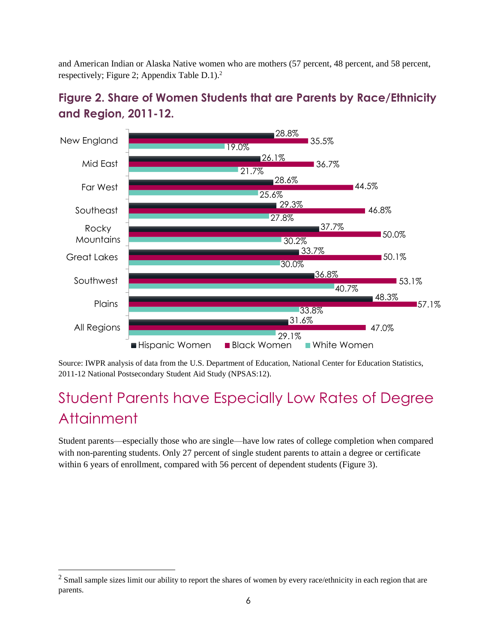and American Indian or Alaska Native women who are mothers (57 percent, 48 percent, and 58 percent, respectively; Figure 2; Appendix Table D.1). 2



#### <span id="page-10-1"></span>**Figure 2. Share of Women Students that are Parents by Race/Ethnicity and Region, 2011-12.**

Source: IWPR analysis of data from the U.S. Department of Education, National Center for Education Statistics, 2011-12 National Postsecondary Student Aid Study (NPSAS:12).

# <span id="page-10-0"></span>Student Parents have Especially Low Rates of Degree **Attainment**

Student parents—especially those who are single—have low rates of college completion when compared with non-parenting students. Only 27 percent of single student parents to attain a degree or certificate within 6 years of enrollment, compared with 56 percent of dependent students (Figure 3).

l

 $2$  Small sample sizes limit our ability to report the shares of women by every race/ethnicity in each region that are parents.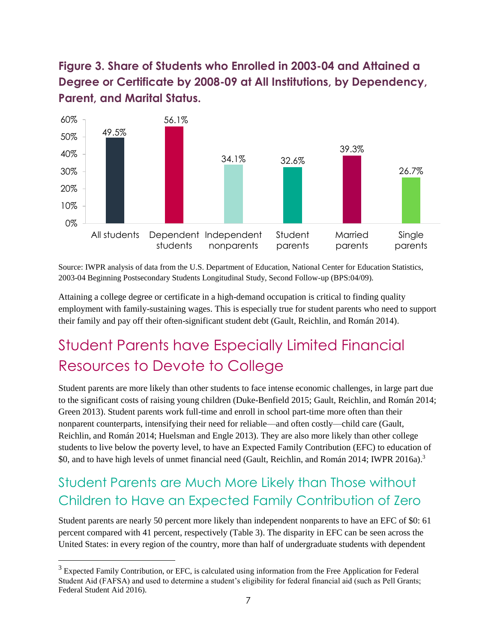<span id="page-11-2"></span>**Figure 3. Share of Students who Enrolled in 2003-04 and Attained a Degree or Certificate by 2008-09 at All Institutions, by Dependency, Parent, and Marital Status.**



Source: IWPR analysis of data from the U.S. Department of Education, National Center for Education Statistics, 2003-04 Beginning Postsecondary Students Longitudinal Study, Second Follow-up (BPS:04/09).

Attaining a college degree or certificate in a high-demand occupation is critical to finding quality employment with family-sustaining wages. This is especially true for student parents who need to support their family and pay off their often-significant student debt (Gault, Reichlin, and Román 2014).

# <span id="page-11-0"></span>Student Parents have Especially Limited Financial Resources to Devote to College

Student parents are more likely than other students to face intense economic challenges, in large part due to the significant costs of raising young children (Duke-Benfield 2015; Gault, Reichlin, and Román 2014; Green 2013). Student parents work full-time and enroll in school part-time more often than their nonparent counterparts, intensifying their need for reliable—and often costly—child care (Gault, Reichlin, and Román 2014; Huelsman and Engle 2013). They are also more likely than other college students to live below the poverty level, to have an Expected Family Contribution (EFC) to education of \$0, and to have high levels of unmet financial need (Gault, Reichlin, and Román 2014; IWPR 2016a).<sup>3</sup>

### <span id="page-11-1"></span>Student Parents are Much More Likely than Those without Children to Have an Expected Family Contribution of Zero

Student parents are nearly 50 percent more likely than independent nonparents to have an EFC of \$0: 61 percent compared with 41 percent, respectively (Table 3). The disparity in EFC can be seen across the United States: in every region of the country, more than half of undergraduate students with dependent

 $\overline{a}$ 

<sup>&</sup>lt;sup>3</sup> Expected Family Contribution, or EFC, is calculated using information from the Free Application for Federal Student Aid (FAFSA) and used to determine a student's eligibility for federal financial aid (such as Pell Grants; Federal Student Aid 2016).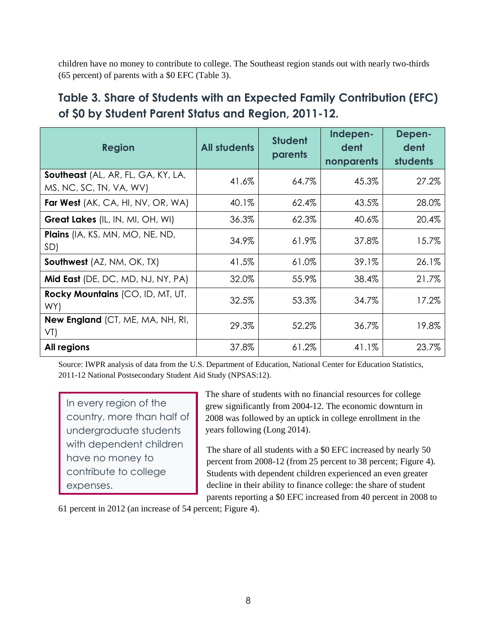children have no money to contribute to college. The Southeast region stands out with nearly two-thirds (65 percent) of parents with a \$0 EFC (Table 3).

#### <span id="page-12-0"></span>**Table 3. Share of Students with an Expected Family Contribution (EFC) of \$0 by Student Parent Status and Region, 2011-12.**

| <b>Region</b>                                                 | <b>All students</b> | <b>Student</b><br>parents | Indepen-<br>dent<br>nonparents | Depen-<br>dent<br><b>students</b> |
|---------------------------------------------------------------|---------------------|---------------------------|--------------------------------|-----------------------------------|
| Southeast (AL, AR, FL, GA, KY, LA,<br>MS, NC, SC, TN, VA, WV) | 41.6%               | 64.7%                     | 45.3%                          | 27.2%                             |
| <b>Far West</b> (AK, CA, HI, NV, OR, WA)                      | 40.1%               | 62.4%                     | 43.5%                          | 28.0%                             |
| Great Lakes (IL, IN, MI, OH, WI)                              | 36.3%               | 62.3%                     | 40.6%                          | 20.4%                             |
| <b>Plains</b> (IA, KS, MN, MO, NE, ND,<br>SD)                 | 34.9%               | 61.9%                     | 37.8%                          | 15.7%                             |
| <b>Southwest</b> (AZ, NM, OK, TX)                             | 41.5%               | 61.0%                     | 39.1%                          | 26.1%                             |
| <b>Mid East</b> (DE, DC, MD, NJ, NY, PA)                      | 32.0%               | 55.9%                     | 38.4%                          | 21.7%                             |
| Rocky Mountains (CO, ID, MT, UT,<br>WY)                       | 32.5%               | 53.3%                     | 34.7%                          | 17.2%                             |
| <b>New England</b> (CT, ME, MA, NH, RI,<br>VT)                | 29.3%               | 52.2%                     | 36.7%                          | 19.8%                             |
| All regions                                                   | 37.8%               | 61.2%                     | 41.1%                          | 23.7%                             |

Source: IWPR analysis of data from the U.S. Department of Education, National Center for Education Statistics, 2011-12 National Postsecondary Student Aid Study (NPSAS:12).

In every region of the country, more than half of undergraduate students with dependent children have no money to contribute to college expenses.

The share of students with no financial resources for college grew significantly from 2004-12. The economic downturn in 2008 was followed by an uptick in college enrollment in the years following (Long 2014).

The share of all students with a \$0 EFC increased by nearly 50 percent from 2008-12 (from 25 percent to 38 percent; Figure 4). Students with dependent children experienced an even greater decline in their ability to finance college: the share of student parents reporting a \$0 EFC increased from 40 percent in 2008 to

61 percent in 2012 (an increase of 54 percent; Figure 4).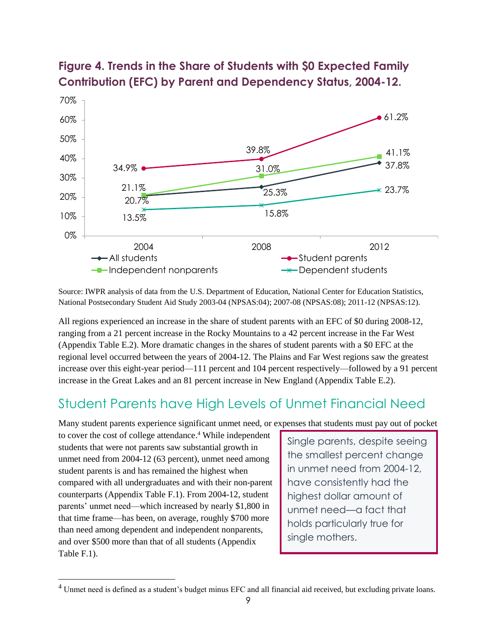

#### <span id="page-13-1"></span>**Figure 4. Trends in the Share of Students with \$0 Expected Family Contribution (EFC) by Parent and Dependency Status, 2004-12.**

Source: IWPR analysis of data from the U.S. Department of Education, National Center for Education Statistics, National Postsecondary Student Aid Study 2003-04 (NPSAS:04); 2007-08 (NPSAS:08); 2011-12 (NPSAS:12).

All regions experienced an increase in the share of student parents with an EFC of \$0 during 2008-12, ranging from a 21 percent increase in the Rocky Mountains to a 42 percent increase in the Far West (Appendix Table E.2). More dramatic changes in the shares of student parents with a \$0 EFC at the regional level occurred between the years of 2004-12. The Plains and Far West regions saw the greatest increase over this eight-year period—111 percent and 104 percent respectively—followed by a 91 percent increase in the Great Lakes and an 81 percent increase in New England (Appendix Table E.2).

### <span id="page-13-0"></span>Student Parents have High Levels of Unmet Financial Need

Many student parents experience significant unmet need, or expenses that students must pay out of pocket

to cover the cost of college attendance. <sup>4</sup> While independent students that were not parents saw substantial growth in unmet need from 2004-12 (63 percent), unmet need among student parents is and has remained the highest when compared with all undergraduates and with their non-parent counterparts (Appendix Table F.1). From 2004-12, student parents' unmet need—which increased by nearly \$1,800 in that time frame—has been, on average, roughly \$700 more than need among dependent and independent nonparents, and over \$500 more than that of all students (Appendix Table F.1).

l

Single parents, despite seeing the smallest percent change in unmet need from 2004-12, have consistently had the highest dollar amount of unmet need—a fact that holds particularly true for single mothers.

<sup>&</sup>lt;sup>4</sup> Unmet need is defined as a student's budget minus EFC and all financial aid received, but excluding private loans.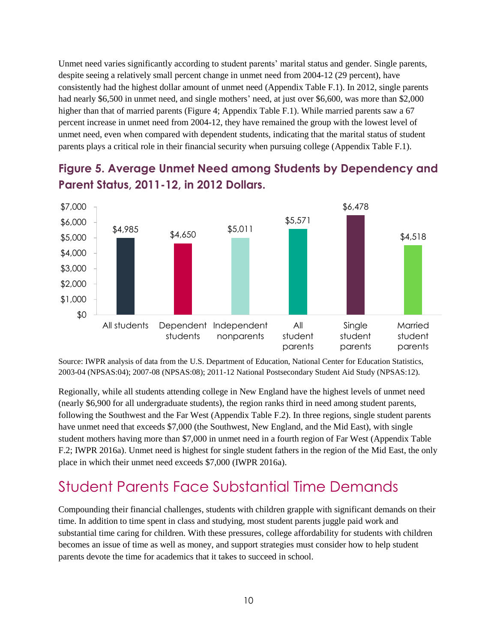Unmet need varies significantly according to student parents' marital status and gender. Single parents, despite seeing a relatively small percent change in unmet need from 2004-12 (29 percent), have consistently had the highest dollar amount of unmet need (Appendix Table F.1). In 2012, single parents had nearly \$6,500 in unmet need, and single mothers' need, at just over \$6,600, was more than \$2,000 higher than that of married parents (Figure 4; Appendix Table F.1). While married parents saw a 67 percent increase in unmet need from 2004-12, they have remained the group with the lowest level of unmet need, even when compared with dependent students, indicating that the marital status of student parents plays a critical role in their financial security when pursuing college (Appendix Table F.1).



### <span id="page-14-1"></span>**Figure 5. Average Unmet Need among Students by Dependency and Parent Status, 2011-12, in 2012 Dollars.**

Source: IWPR analysis of data from the U.S. Department of Education, National Center for Education Statistics, 2003-04 (NPSAS:04); 2007-08 (NPSAS:08); 2011-12 National Postsecondary Student Aid Study (NPSAS:12).

Regionally, while all students attending college in New England have the highest levels of unmet need (nearly \$6,900 for all undergraduate students), the region ranks third in need among student parents, following the Southwest and the Far West (Appendix Table F.2). In three regions, single student parents have unmet need that exceeds \$7,000 (the Southwest, New England, and the Mid East), with single student mothers having more than \$7,000 in unmet need in a fourth region of Far West (Appendix Table F.2; IWPR 2016a). Unmet need is highest for single student fathers in the region of the Mid East, the only place in which their unmet need exceeds \$7,000 (IWPR 2016a).

### <span id="page-14-0"></span>Student Parents Face Substantial Time Demands

Compounding their financial challenges, students with children grapple with significant demands on their time. In addition to time spent in class and studying, most student parents juggle paid work and substantial time caring for children. With these pressures, college affordability for students with children becomes an issue of time as well as money, and support strategies must consider how to help student parents devote the time for academics that it takes to succeed in school.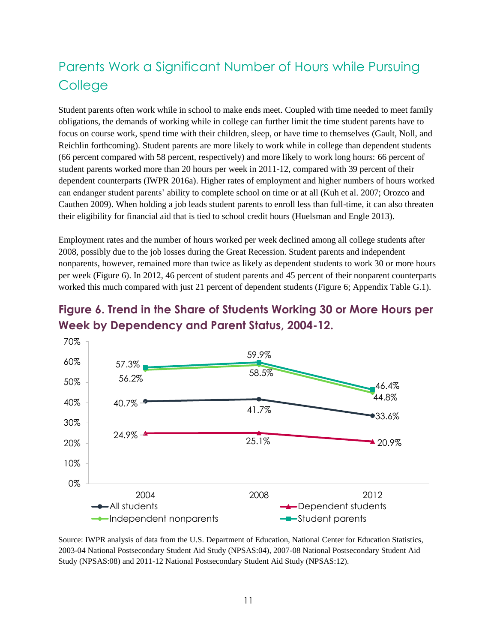### <span id="page-15-0"></span>Parents Work a Significant Number of Hours while Pursuing **College**

Student parents often work while in school to make ends meet. Coupled with time needed to meet family obligations, the demands of working while in college can further limit the time student parents have to focus on course work, spend time with their children, sleep, or have time to themselves (Gault, Noll, and Reichlin forthcoming). Student parents are more likely to work while in college than dependent students (66 percent compared with 58 percent, respectively) and more likely to work long hours: 66 percent of student parents worked more than 20 hours per week in 2011-12, compared with 39 percent of their dependent counterparts (IWPR 2016a). Higher rates of employment and higher numbers of hours worked can endanger student parents' ability to complete school on time or at all (Kuh et al. 2007; Orozco and Cauthen 2009). When holding a job leads student parents to enroll less than full-time, it can also threaten their eligibility for financial aid that is tied to school credit hours (Huelsman and Engle 2013).

Employment rates and the number of hours worked per week declined among all college students after 2008, possibly due to the job losses during the Great Recession. Student parents and independent nonparents, however, remained more than twice as likely as dependent students to work 30 or more hours per week (Figure 6). In 2012, 46 percent of student parents and 45 percent of their nonparent counterparts worked this much compared with just 21 percent of dependent students (Figure 6; Appendix Table G.1).

<span id="page-15-1"></span>



Source: IWPR analysis of data from the U.S. Department of Education, National Center for Education Statistics, 2003-04 National Postsecondary Student Aid Study (NPSAS:04), 2007-08 National Postsecondary Student Aid Study (NPSAS:08) and 2011-12 National Postsecondary Student Aid Study (NPSAS:12).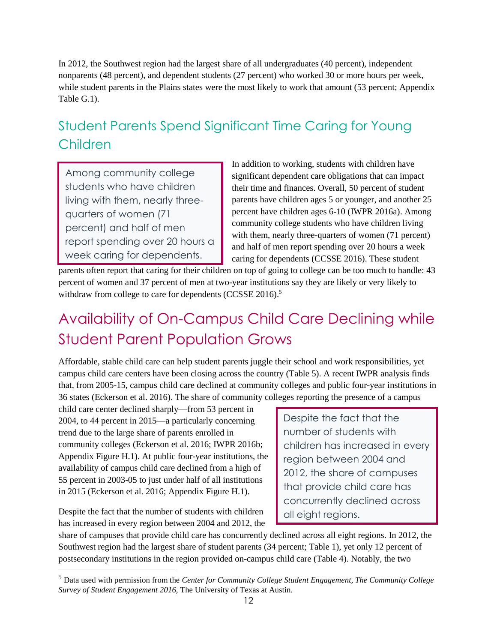In 2012, the Southwest region had the largest share of all undergraduates (40 percent), independent nonparents (48 percent), and dependent students (27 percent) who worked 30 or more hours per week, while student parents in the Plains states were the most likely to work that amount (53 percent; Appendix Table G.1).

### <span id="page-16-0"></span>Student Parents Spend Significant Time Caring for Young Children

Among community college students who have children living with them, nearly threequarters of women (71 percent) and half of men report spending over 20 hours a week caring for dependents.

In addition to working, students with children have significant dependent care obligations that can impact their time and finances. Overall, 50 percent of student parents have children ages 5 or younger, and another 25 percent have children ages 6-10 (IWPR 2016a). Among community college students who have children living with them, nearly three-quarters of women (71 percent) and half of men report spending over 20 hours a week caring for dependents (CCSSE 2016). These student

parents often report that caring for their children on top of going to college can be too much to handle: 43 percent of women and 37 percent of men at two-year institutions say they are likely or very likely to withdraw from college to care for dependents (CCSSE 2016).<sup>5</sup>

# <span id="page-16-1"></span>Availability of On-Campus Child Care Declining while Student Parent Population Grows

Affordable, stable child care can help student parents juggle their school and work responsibilities, yet campus child care centers have been closing across the country (Table 5). A recent IWPR analysis finds that, from 2005-15, campus child care declined at community colleges and public four-year institutions in 36 states (Eckerson et al. 2016). The share of community colleges reporting the presence of a campus

child care center declined sharply—from 53 percent in 2004, to 44 percent in 2015—a particularly concerning trend due to the large share of parents enrolled in community colleges (Eckerson et al. 2016; IWPR 2016b; Appendix Figure H.1). At public four-year institutions, the availability of campus child care declined from a high of 55 percent in 2003-05 to just under half of all institutions in 2015 (Eckerson et al. 2016; Appendix Figure H.1).

Despite the fact that the number of students with children has increased in every region between 2004 and 2012, the

l

Despite the fact that the number of students with children has increased in every region between 2004 and 2012, the share of campuses that provide child care has concurrently declined across all eight regions.

share of campuses that provide child care has concurrently declined across all eight regions. In 2012, the Southwest region had the largest share of student parents (34 percent; Table 1), yet only 12 percent of postsecondary institutions in the region provided on-campus child care (Table 4). Notably, the two

<sup>5</sup> Data used with permission from the *Center for Community College Student Engagement, The Community College Survey of Student Engagement 2016,* The University of Texas at Austin.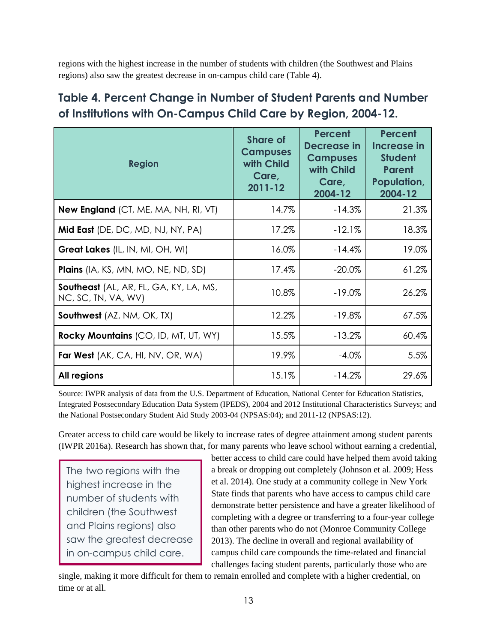regions with the highest increase in the number of students with children (the Southwest and Plains regions) also saw the greatest decrease in on-campus child care (Table 4).

### <span id="page-17-0"></span>**Table 4. Percent Change in Number of Student Parents and Number of Institutions with On-Campus Child Care by Region, 2004-12.**

| <b>Region</b>                                                        | <b>Share of</b><br><b>Campuses</b><br>with Child<br>Care,<br>$2011 - 12$ | Percent<br><b>Decrease in</b><br><b>Campuses</b><br>with Child<br>Care,<br>2004-12 | Percent<br>Increase in<br><b>Student</b><br><b>Parent</b><br>Population,<br>2004-12 |
|----------------------------------------------------------------------|--------------------------------------------------------------------------|------------------------------------------------------------------------------------|-------------------------------------------------------------------------------------|
| <b>New England</b> (CT, ME, MA, NH, RI, VT)                          | 14.7%                                                                    | $-14.3%$                                                                           | 21.3%                                                                               |
| Mid East (DE, DC, MD, NJ, NY, PA)                                    | 17.2%                                                                    | $-12.1%$                                                                           | 18.3%                                                                               |
| Great Lakes (IL, IN, MI, OH, WI)                                     | 16.0%                                                                    | $-14.4%$                                                                           | 19.0%                                                                               |
| <b>Plains</b> (IA, KS, MN, MO, NE, ND, SD)                           | 17.4%                                                                    | $-20.0\%$                                                                          | 61.2%                                                                               |
| <b>Southeast</b> (AL, AR, FL, GA, KY, LA, MS,<br>NC, SC, TN, VA, WV) | 10.8%                                                                    | $-19.0\%$                                                                          | 26.2%                                                                               |
| <b>Southwest</b> (AZ, NM, OK, TX)                                    | 12.2%                                                                    | $-19.8\%$                                                                          | 67.5%                                                                               |
| Rocky Mountains (CO, ID, MT, UT, WY)                                 | 15.5%                                                                    | $-13.2%$                                                                           | 60.4%                                                                               |
| <b>Far West</b> (AK, CA, HI, NV, OR, WA)                             | 19.9%                                                                    | $-4.0\%$                                                                           | 5.5%                                                                                |
| All regions                                                          | 15.1%                                                                    | $-14.2%$                                                                           | 29.6%                                                                               |

Source: IWPR analysis of data from the U.S. Department of Education, National Center for Education Statistics, Integrated Postsecondary Education Data System (IPEDS), 2004 and 2012 Institutional Characteristics Surveys; and the National Postsecondary Student Aid Study 2003-04 (NPSAS:04); and 2011-12 (NPSAS:12).

Greater access to child care would be likely to increase rates of degree attainment among student parents (IWPR 2016a). Research has shown that, for many parents who leave school without earning a credential,

The two regions with the highest increase in the number of students with children (the Southwest and Plains regions) also saw the greatest decrease in on-campus child care.

better access to child care could have helped them avoid taking a break or dropping out completely (Johnson et al. 2009; Hess et al. 2014). One study at a community college in New York State finds that parents who have access to campus child care demonstrate better persistence and have a greater likelihood of completing with a degree or transferring to a four-year college than other parents who do not (Monroe Community College 2013). The decline in overall and regional availability of campus child care compounds the time-related and financial challenges facing student parents, particularly those who are

single, making it more difficult for them to remain enrolled and complete with a higher credential, on time or at all.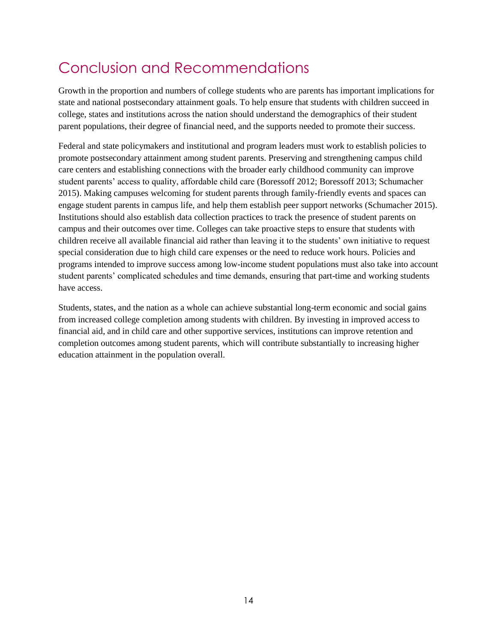# <span id="page-18-0"></span>Conclusion and Recommendations

Growth in the proportion and numbers of college students who are parents has important implications for state and national postsecondary attainment goals. To help ensure that students with children succeed in college, states and institutions across the nation should understand the demographics of their student parent populations, their degree of financial need, and the supports needed to promote their success.

Federal and state policymakers and institutional and program leaders must work to establish policies to promote postsecondary attainment among student parents. Preserving and strengthening campus child care centers and establishing connections with the broader early childhood community can improve student parents' access to quality, affordable child care (Boressoff 2012; Boressoff 2013; Schumacher 2015). Making campuses welcoming for student parents through family-friendly events and spaces can engage student parents in campus life, and help them establish peer support networks (Schumacher 2015). Institutions should also establish data collection practices to track the presence of student parents on campus and their outcomes over time. Colleges can take proactive steps to ensure that students with children receive all available financial aid rather than leaving it to the students' own initiative to request special consideration due to high child care expenses or the need to reduce work hours. Policies and programs intended to improve success among low-income student populations must also take into account student parents' complicated schedules and time demands, ensuring that part-time and working students have access.

Students, states, and the nation as a whole can achieve substantial long-term economic and social gains from increased college completion among students with children. By investing in improved access to financial aid, and in child care and other supportive services, institutions can improve retention and completion outcomes among student parents, which will contribute substantially to increasing higher education attainment in the population overall.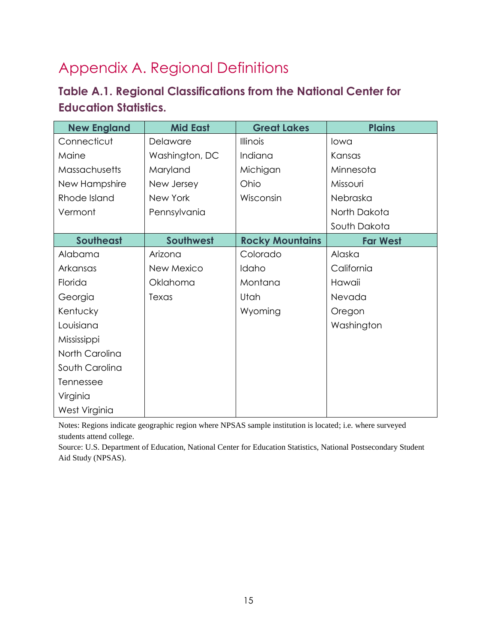# Appendix A. Regional Definitions

#### <span id="page-19-0"></span>**Table A.1. Regional Classifications from the National Center for Education Statistics.**

| <b>New England</b> | <b>Mid East</b> | <b>Great Lakes</b>     | <b>Plains</b>   |
|--------------------|-----------------|------------------------|-----------------|
| Connecticut        | Delaware        | Illinois               | lowa            |
| Maine              | Washington, DC  | Indiana                | Kansas          |
| Massachusetts      | Maryland        | Michigan               | Minnesota       |
| New Hampshire      | New Jersey      | Ohio                   | Missouri        |
| Rhode Island       | New York        | Wisconsin              | Nebraska        |
| Vermont            | Pennsylvania    |                        | North Dakota    |
|                    |                 |                        | South Dakota    |
| <b>Southeast</b>   | Southwest       | <b>Rocky Mountains</b> | <b>Far West</b> |
| Alabama            | Arizona         | Colorado               | Alaska          |
| Arkansas           | New Mexico      | Idaho                  | California      |
| Florida            | Oklahoma        | Montana                | Hawaii          |
| Georgia            | Texas           | Utah                   | Nevada          |
| Kentucky           |                 | Wyoming                | Oregon          |
| Louisiana          |                 |                        | Washington      |
| Mississippi        |                 |                        |                 |
| North Carolina     |                 |                        |                 |
| South Carolina     |                 |                        |                 |
| Tennessee          |                 |                        |                 |
| Virginia           |                 |                        |                 |
| West Virginia      |                 |                        |                 |

Notes: Regions indicate geographic region where NPSAS sample institution is located; i.e. where surveyed students attend college.

Source: U.S. Department of Education, National Center for Education Statistics, National Postsecondary Student Aid Study (NPSAS).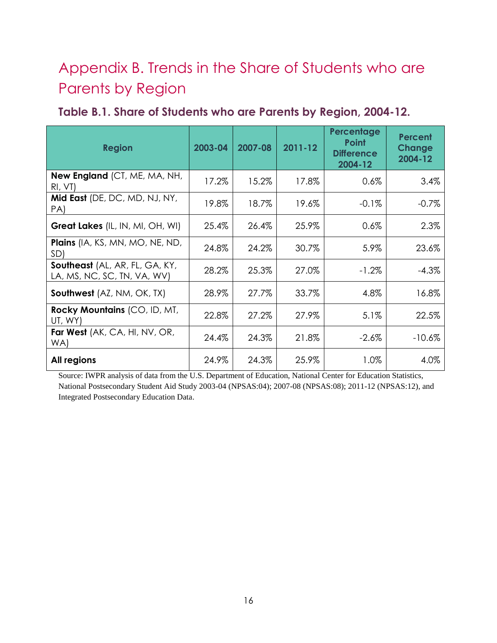# Appendix B. Trends in the Share of Students who are Parents by Region

<span id="page-20-0"></span>

| Table B.1. Share of Students who are Parents by Region, 2004-12. |  |  |  |  |  |
|------------------------------------------------------------------|--|--|--|--|--|
|------------------------------------------------------------------|--|--|--|--|--|

| <b>Region</b>                                                 | 2003-04 | 2007-08 | $2011 - 12$ | Percentage<br><b>Point</b><br><b>Difference</b><br>2004-12 | Percent<br>Change<br>2004-12 |
|---------------------------------------------------------------|---------|---------|-------------|------------------------------------------------------------|------------------------------|
| New England (CT, ME, MA, NH,<br>RI, VI)                       | 17.2%   | 15.2%   | 17.8%       | 0.6%                                                       | 3.4%                         |
| Mid East (DE, DC, MD, NJ, NY,<br>PA)                          | 19.8%   | 18.7%   | 19.6%       | $-0.1%$                                                    | $-0.7%$                      |
| Great Lakes (IL, IN, MI, OH, WI)                              | 25.4%   | 26.4%   | 25.9%       | 0.6%                                                       | 2.3%                         |
| <b>Plains</b> (IA, KS, MN, MO, NE, ND,<br>SD)                 | 24.8%   | 24.2%   | 30.7%       | 5.9%                                                       | 23.6%                        |
| Southeast (AL, AR, FL, GA, KY,<br>LA, MS, NC, SC, TN, VA, WV) | 28.2%   | 25.3%   | 27.0%       | $-1.2%$                                                    | $-4.3%$                      |
| <b>Southwest</b> (AZ, NM, OK, TX)                             | 28.9%   | 27.7%   | 33.7%       | 4.8%                                                       | 16.8%                        |
| Rocky Mountains (CO, ID, MT,<br>UT, WY)                       | 22.8%   | 27.2%   | 27.9%       | 5.1%                                                       | 22.5%                        |
| Far West (AK, CA, HI, NV, OR,<br>WA)                          | 24.4%   | 24.3%   | 21.8%       | $-2.6\%$                                                   | $-10.6%$                     |
| All regions                                                   | 24.9%   | 24.3%   | 25.9%       | 1.0%                                                       | 4.0%                         |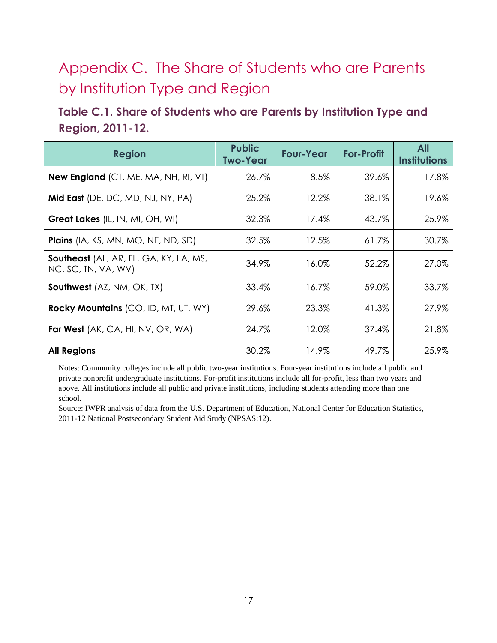# Appendix C. The Share of Students who are Parents by Institution Type and Region

#### <span id="page-21-0"></span>**Table C.1. Share of Students who are Parents by Institution Type and Region, 2011-12.**

| <b>Region</b>                                                 | <b>Public</b><br><b>Two-Year</b> | <b>Four-Year</b> | <b>For-Profit</b> | <b>All</b><br><b>Institutions</b> |
|---------------------------------------------------------------|----------------------------------|------------------|-------------------|-----------------------------------|
| <b>New England</b> (CT, ME, MA, NH, RI, VT)                   | 26.7%                            | 8.5%             | 39.6%             | 17.8%                             |
| Mid East (DE, DC, MD, NJ, NY, PA)                             | 25.2%                            | 12.2%            | 38.1%             | 19.6%                             |
| Great Lakes (IL, IN, MI, OH, WI)                              | 32.3%                            | 17.4%            | 43.7%             | 25.9%                             |
| Plains (IA, KS, MN, MO, NE, ND, SD)                           | 32.5%                            | 12.5%            | 61.7%             | 30.7%                             |
| Southeast (AL, AR, FL, GA, KY, LA, MS,<br>NC, SC, TN, VA, WV) | 34.9%                            | 16.0%            | 52.2%             | 27.0%                             |
| <b>Southwest</b> (AZ, NM, OK, TX)                             | 33.4%                            | 16.7%            | 59.0%             | 33.7%                             |
| Rocky Mountains (CO, ID, MT, UT, WY)                          | 29.6%                            | 23.3%            | 41.3%             | 27.9%                             |
| <b>Far West</b> (AK, CA, HI, NV, OR, WA)                      | 24.7%                            | 12.0%            | 37.4%             | 21.8%                             |
| <b>All Regions</b>                                            | 30.2%                            | 14.9%            | 49.7%             | 25.9%                             |

Notes: Community colleges include all public two-year institutions. Four-year institutions include all public and private nonprofit undergraduate institutions. For-profit institutions include all for-profit, less than two years and above. All institutions include all public and private institutions, including students attending more than one school.

Source: IWPR analysis of data from the U.S. Department of Education, National Center for Education Statistics, 2011-12 National Postsecondary Student Aid Study (NPSAS:12).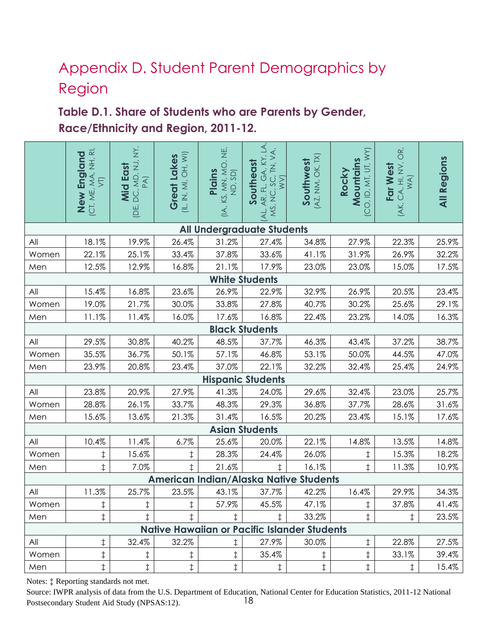# Appendix D. Student Parent Demographics by Region

### <span id="page-22-0"></span>**Table D.1. Share of Students who are Parents by Gender, Race/Ethnicity and Region, 2011-12.**

|       | (CT, ME, MA, NH, RI)<br>VT)<br>New England | , DC, MD, NJ, NY,<br>PA)<br>Mid East<br>IDE, | (IL, IN, MI, OH, WI)<br>Great Lakes | (IA, KS, MN, MO, NE,<br>ND, SD)<br><b>Plains</b> | $\overline{\mathcal{A}}$<br>∢<br>'AL, AR, FL, GA, KY, I<br>MS, NC, SC, TN, VA<br>WV)<br>Southeast<br>$\overline{\mathbf{A}}$ | AX, NM, OK, TX<br>Southwest                         | CO, ID, MT, UT, WY)<br>Mountains<br>Rocky | OR,<br>Far West<br>(AK, CA, HI, NV, W, WA) | <b>All Regions</b> |
|-------|--------------------------------------------|----------------------------------------------|-------------------------------------|--------------------------------------------------|------------------------------------------------------------------------------------------------------------------------------|-----------------------------------------------------|-------------------------------------------|--------------------------------------------|--------------------|
|       |                                            |                                              |                                     | <b>All Undergraduate Students</b>                |                                                                                                                              |                                                     |                                           |                                            |                    |
| All   | 18.1%                                      | 19.9%                                        | 26.4%                               | 31.2%                                            | 27.4%                                                                                                                        | 34.8%                                               | 27.9%                                     | 22.3%                                      | 25.9%              |
| Women | 22.1%                                      | 25.1%                                        | 33.4%                               | 37.8%                                            | 33.6%                                                                                                                        | 41.1%                                               | 31.9%                                     | 26.9%                                      | 32.2%              |
| Men   | 12.5%                                      | 12.9%                                        | 16.8%                               | 21.1%                                            | 17.9%                                                                                                                        | 23.0%                                               | 23.0%                                     | 15.0%                                      | 17.5%              |
|       |                                            |                                              |                                     |                                                  | <b>White Students</b>                                                                                                        |                                                     |                                           |                                            |                    |
| All   | 15.4%                                      | 16.8%                                        | 23.6%                               | 26.9%                                            | 22.9%                                                                                                                        | 32.9%                                               | 26.9%                                     | 20.5%                                      | 23.4%              |
| Women | 19.0%                                      | 21.7%                                        | 30.0%                               | 33.8%                                            | 27.8%                                                                                                                        | 40.7%                                               | 30.2%                                     | 25.6%                                      | 29.1%              |
| Men   | 11.1%                                      | 11.4%                                        | 16.0%                               | 17.6%                                            | 16.8%                                                                                                                        | 22.4%                                               | 23.2%                                     | 14.0%                                      | 16.3%              |
|       |                                            |                                              |                                     |                                                  | <b>Black Students</b>                                                                                                        |                                                     |                                           |                                            |                    |
| All   | 29.5%                                      | 30.8%                                        | 40.2%                               | 48.5%                                            | 37.7%                                                                                                                        | 46.3%                                               | 43.4%                                     | 37.2%                                      | 38.7%              |
| Women | 35.5%                                      | 36.7%                                        | 50.1%                               | 57.1%                                            | 46.8%                                                                                                                        | 53.1%                                               | 50.0%                                     | 44.5%                                      | 47.0%              |
| Men   | 23.9%                                      | 20.8%                                        | 23.4%                               | 37.0%                                            | 22.1%                                                                                                                        | 32.2%                                               | 32.4%                                     | 25.4%                                      | 24.9%              |
|       |                                            |                                              |                                     |                                                  | <b>Hispanic Students</b>                                                                                                     |                                                     |                                           |                                            |                    |
| All   | 23.8%                                      | 20.9%                                        | 27.9%                               | 41.3%                                            | 24.0%                                                                                                                        | 29.6%                                               | 32.4%                                     | 23.0%                                      | 25.7%              |
| Women | 28.8%                                      | 26.1%                                        | 33.7%                               | 48.3%                                            | 29.3%                                                                                                                        | 36.8%                                               | 37.7%                                     | 28.6%                                      | 31.6%              |
| Men   | 15.6%                                      | 13.6%                                        | 21.3%                               | 31.4%                                            | 16.5%                                                                                                                        | 20.2%                                               | 23.4%                                     | 15.1%                                      | 17.6%              |
|       |                                            |                                              |                                     |                                                  | <b>Asian Students</b>                                                                                                        |                                                     |                                           |                                            |                    |
| All   | 10.4%                                      | 11.4%                                        | 6.7%                                | 25.6%                                            | 20.0%                                                                                                                        | 22.1%                                               | 14.8%                                     | 13.5%                                      | 14.8%              |
| Women | $\ddagger$                                 | 15.6%                                        | $\ddagger$                          | 28.3%                                            | 24.4%                                                                                                                        | 26.0%                                               | $\ddagger$                                | 15.3%                                      | 18.2%              |
| Men   | $\ddagger$                                 | 7.0%                                         | $\ddagger$                          | 21.6%                                            | $\ddagger$                                                                                                                   | 16.1%                                               | $\ddagger$                                | 11.3%                                      | 10.9%              |
|       |                                            |                                              |                                     |                                                  |                                                                                                                              | American Indian/Alaska Native Students              |                                           |                                            |                    |
| All   | 11.3%                                      | 25.7%                                        | 23.5%                               | 43.1%                                            | 37.7%                                                                                                                        | 42.2%                                               | 16.4%                                     | 29.9%                                      | 34.3%              |
| Women | $\ddagger$                                 | $\ddagger$                                   | $\ddagger$                          | 57.9%                                            | 45.5%                                                                                                                        | 47.1%                                               | $\ddagger$                                | 37.8%                                      | 41.4%              |
| Men   | $\ddagger$                                 | $\ddagger$                                   | $\ddagger$                          | $\ddagger$                                       | $\ddagger$                                                                                                                   | 33.2%                                               | $\ddagger$                                | $\ddagger$                                 | 23.5%              |
|       |                                            |                                              |                                     |                                                  |                                                                                                                              | <b>Native Hawaiian or Pacific Islander Students</b> |                                           |                                            |                    |
| All   | ‡                                          | 32.4%                                        | 32.2%                               | $\ddagger$                                       | 27.9%                                                                                                                        | 30.0%                                               | ‡                                         | 22.8%                                      | 27.5%              |
| Women | $\ddagger$                                 | $\ddagger$                                   | ţ                                   | $\ddagger$                                       | 35.4%                                                                                                                        | $\ddagger$                                          | $\ddagger$                                | 33.1%                                      | 39.4%              |
| Men   | $\ddagger$                                 | $\ddagger$                                   | $\ddagger$                          | $\ddagger$                                       | $\ddagger$                                                                                                                   | $\ddagger$                                          | $\ddagger$                                | $\ddagger$                                 | 15.4%              |

Notes: ‡ Reporting standards not met.

18 Source: IWPR analysis of data from the U.S. Department of Education, National Center for Education Statistics, 2011-12 National Postsecondary Student Aid Study (NPSAS:12).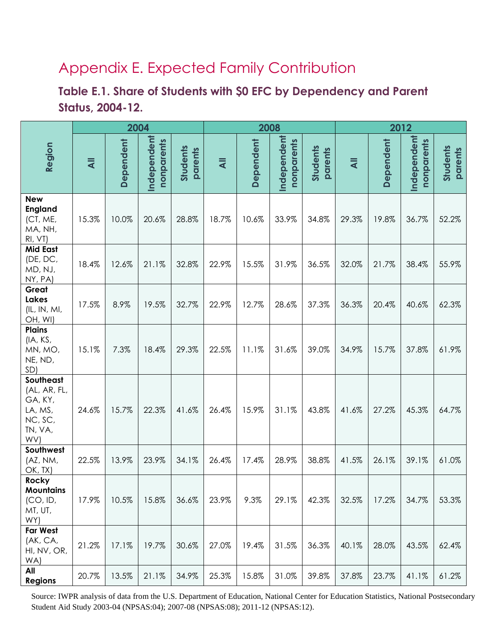# Appendix E. Expected Family Contribution

### <span id="page-23-0"></span>**Table E.1. Share of Students with \$0 EFC by Dependency and Parent Status, 2004-12.**

|                                                                              | 2004           |           |                           |                     | 2008           |           |                           | 2012                |                |           |                           |                     |
|------------------------------------------------------------------------------|----------------|-----------|---------------------------|---------------------|----------------|-----------|---------------------------|---------------------|----------------|-----------|---------------------------|---------------------|
| Region                                                                       | $\overline{4}$ | Dependent | Independent<br>nonparents | Students<br>parents | $\overline{4}$ | Dependent | Independent<br>nonparents | Students<br>parents | $\overline{4}$ | Dependent | Independent<br>nonparents | Students<br>parents |
| <b>New</b><br><b>England</b><br>(CT, ME,<br>MA, NH,<br>RI, VI                | 15.3%          | 10.0%     | 20.6%                     | 28.8%               | 18.7%          | 10.6%     | 33.9%                     | 34.8%               | 29.3%          | 19.8%     | 36.7%                     | 52.2%               |
| <b>Mid East</b><br>(DE, DC,<br>MD, NJ,<br>NY, PA)                            | 18.4%          | 12.6%     | 21.1%                     | 32.8%               | 22.9%          | 15.5%     | 31.9%                     | 36.5%               | 32.0%          | 21.7%     | 38.4%                     | 55.9%               |
| Great<br><b>Lakes</b><br>(IL, IN, MI,<br>OH, WI)                             | 17.5%          | 8.9%      | 19.5%                     | 32.7%               | 22.9%          | 12.7%     | 28.6%                     | 37.3%               | 36.3%          | 20.4%     | 40.6%                     | 62.3%               |
| <b>Plains</b><br>(IA, KS,<br>MN, MO,<br>NE, ND,<br>SD)                       | 15.1%          | 7.3%      | 18.4%                     | 29.3%               | 22.5%          | 11.1%     | 31.6%                     | 39.0%               | 34.9%          | 15.7%     | 37.8%                     | 61.9%               |
| Southeast<br>(AL, AR, FL,<br>GA, KY,<br>LA, MS,<br>NC, SC,<br>TN, VA,<br>WV) | 24.6%          | 15.7%     | 22.3%                     | 41.6%               | 26.4%          | 15.9%     | 31.1%                     | 43.8%               | 41.6%          | 27.2%     | 45.3%                     | 64.7%               |
| Southwest<br>(AZ, NM,<br>OK, TX)                                             | 22.5%          | 13.9%     | 23.9%                     | 34.1%               | 26.4%          | 17.4%     | 28.9%                     | 38.8%               | 41.5%          | 26.1%     | 39.1%                     | 61.0%               |
| Rocky<br><b>Mountains</b><br>(CO, ID,<br>MT, UT,<br>WY)                      | 17.9%          | 10.5%     | 15.8%                     | 36.6%               | 23.9%          | 9.3%      | 29.1%                     | 42.3%               | 32.5%          | 17.2%     | 34.7%                     | 53.3%               |
| <b>Far West</b><br>(AK, CA,<br>HI, NV, OR,<br>WA)                            | 21.2%          | 17.1%     | 19.7%                     | 30.6%               | 27.0%          | 19.4%     | 31.5%                     | 36.3%               | 40.1%          | 28.0%     | 43.5%                     | 62.4%               |
| All<br><b>Regions</b>                                                        | 20.7%          | 13.5%     | 21.1%                     | 34.9%               | 25.3%          | 15.8%     | 31.0%                     | 39.8%               | 37.8%          | 23.7%     | 41.1%                     | 61.2%               |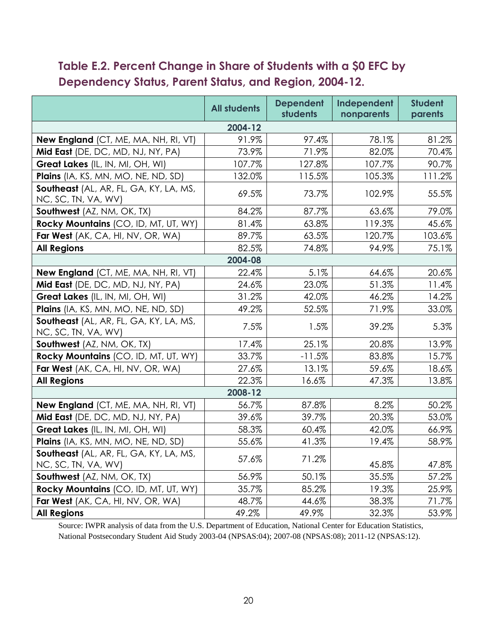### <span id="page-24-0"></span>**Table E.2. Percent Change in Share of Students with a \$0 EFC by Dependency Status, Parent Status, and Region, 2004-12.**

|                                                               | <b>All students</b> | <b>Dependent</b><br>students | Independent<br>nonparents | <b>Student</b><br>parents |  |  |
|---------------------------------------------------------------|---------------------|------------------------------|---------------------------|---------------------------|--|--|
| 2004-12                                                       |                     |                              |                           |                           |  |  |
| <b>New England</b> (CT, ME, MA, NH, RI, VT)                   | 91.9%               | 97.4%                        | 78.1%                     | 81.2%                     |  |  |
| Mid East (DE, DC, MD, NJ, NY, PA)                             | 73.9%               | 71.9%                        | 82.0%                     | 70.4%                     |  |  |
| Great Lakes (IL, IN, MI, OH, WI)                              | 107.7%              | 127.8%                       | 107.7%                    | 90.7%                     |  |  |
| Plains (IA, KS, MN, MO, NE, ND, SD)                           | 132.0%              | 115.5%                       | 105.3%                    | 111.2%                    |  |  |
| Southeast (AL, AR, FL, GA, KY, LA, MS,<br>NC, SC, TN, VA, WV) | 69.5%               | 73.7%                        | 102.9%                    | 55.5%                     |  |  |
| Southwest (AZ, NM, OK, TX)                                    | 84.2%               | 87.7%                        | 63.6%                     | 79.0%                     |  |  |
| Rocky Mountains (CO, ID, MT, UT, WY)                          | 81.4%               | 63.8%                        | 119.3%                    | 45.6%                     |  |  |
| Far West (AK, CA, HI, NV, OR, WA)                             | 89.7%               | 63.5%                        | 120.7%                    | 103.6%                    |  |  |
| <b>All Regions</b>                                            | 82.5%               | 74.8%                        | 94.9%                     | 75.1%                     |  |  |
|                                                               | 2004-08             |                              |                           |                           |  |  |
| New England (CT, ME, MA, NH, RI, VT)                          | 22.4%               | 5.1%                         | 64.6%                     | 20.6%                     |  |  |
| Mid East (DE, DC, MD, NJ, NY, PA)                             | 24.6%               | 23.0%                        | 51.3%                     | 11.4%                     |  |  |
| Great Lakes (IL, IN, MI, OH, WI)                              | 31.2%               | 42.0%                        | 46.2%                     | 14.2%                     |  |  |
| Plains (IA, KS, MN, MO, NE, ND, SD)                           | 49.2%               | 52.5%                        | 71.9%                     | 33.0%                     |  |  |
| Southeast (AL, AR, FL, GA, KY, LA, MS,<br>NC, SC, TN, VA, WV) | 7.5%                | 1.5%                         | 39.2%                     | 5.3%                      |  |  |
| Southwest (AZ, NM, OK, TX)                                    | 17.4%               | 25.1%                        | 20.8%                     | 13.9%                     |  |  |
| Rocky Mountains (CO, ID, MT, UT, WY)                          | 33.7%               | $-11.5%$                     | 83.8%                     | 15.7%                     |  |  |
| Far West (AK, CA, HI, NV, OR, WA)                             | 27.6%               | 13.1%                        | 59.6%                     | 18.6%                     |  |  |
| <b>All Regions</b>                                            | 22.3%               | 16.6%                        | 47.3%                     | 13.8%                     |  |  |
|                                                               | 2008-12             |                              |                           |                           |  |  |
| New England (CT, ME, MA, NH, RI, VT)                          | 56.7%               | 87.8%                        | 8.2%                      | 50.2%                     |  |  |
| Mid East (DE, DC, MD, NJ, NY, PA)                             | 39.6%               | 39.7%                        | 20.3%                     | 53.0%                     |  |  |
| Great Lakes (IL, IN, MI, OH, WI)                              | 58.3%               | 60.4%                        | 42.0%                     | 66.9%                     |  |  |
| Plains (IA, KS, MN, MO, NE, ND, SD)                           | 55.6%               | 41.3%                        | 19.4%                     | 58.9%                     |  |  |
| Southeast (AL, AR, FL, GA, KY, LA, MS,<br>NC, SC, TN, VA, WV) | 57.6%               | 71.2%                        | 45.8%                     | 47.8%                     |  |  |
| Southwest (AZ, NM, OK, TX)                                    | 56.9%               | 50.1%                        | 35.5%                     | 57.2%                     |  |  |
| Rocky Mountains (CO, ID, MT, UT, WY)                          | 35.7%               | 85.2%                        | 19.3%                     | 25.9%                     |  |  |
| Far West (AK, CA, HI, NV, OR, WA)                             | 48.7%               | 44.6%                        | 38.3%                     | 71.7%                     |  |  |
| <b>All Regions</b>                                            | 49.2%               | 49.9%                        | 32.3%                     | 53.9%                     |  |  |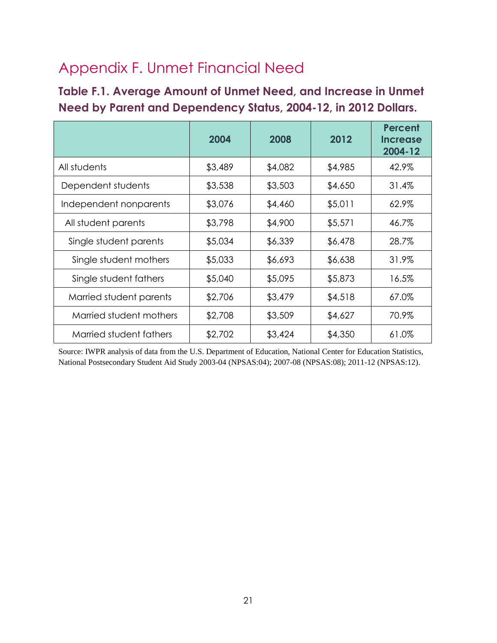# Appendix F. Unmet Financial Need

<span id="page-25-0"></span>**Table F.1. Average Amount of Unmet Need, and Increase in Unmet Need by Parent and Dependency Status, 2004-12, in 2012 Dollars.**

|                         | 2004    | 2008    | 2012    | <b>Percent</b><br><b>Increase</b><br>2004-12 |
|-------------------------|---------|---------|---------|----------------------------------------------|
| All students            | \$3,489 | \$4,082 | \$4,985 | 42.9%                                        |
| Dependent students      | \$3,538 | \$3,503 | \$4,650 | 31.4%                                        |
| Independent nonparents  | \$3,076 | \$4,460 | \$5,011 | 62.9%                                        |
| All student parents     | \$3,798 | \$4,900 | \$5,571 | 46.7%                                        |
| Single student parents  | \$5,034 | \$6,339 | \$6,478 | 28.7%                                        |
| Single student mothers  | \$5,033 | \$6,693 | \$6,638 | 31.9%                                        |
| Single student fathers  | \$5,040 | \$5,095 | \$5,873 | 16.5%                                        |
| Married student parents | \$2,706 | \$3,479 | \$4,518 | 67.0%                                        |
| Married student mothers | \$2,708 | \$3,509 | \$4,627 | 70.9%                                        |
| Married student fathers | \$2,702 | \$3,424 | \$4,350 | 61.0%                                        |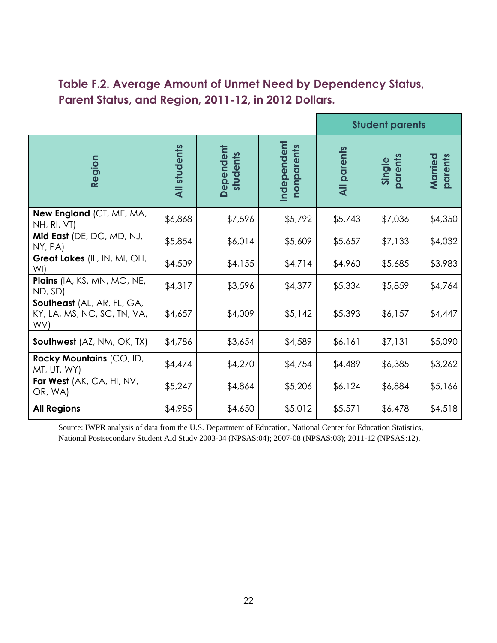#### <span id="page-26-0"></span>**Table F.2. Average Amount of Unmet Need by Dependency Status, Parent Status, and Region, 2011-12, in 2012 Dollars.**

|                                                                  | <b>Student parents</b> |                       |                           |                    |                   |                    |
|------------------------------------------------------------------|------------------------|-----------------------|---------------------------|--------------------|-------------------|--------------------|
| Region                                                           | <b>All students</b>    | Dependent<br>students | Independent<br>nonparents | <b>All parents</b> | Single<br>parents | parents<br>Married |
| New England (CT, ME, MA,<br>NH, RI, VT)                          | \$6,868                | \$7,596               | \$5,792                   | \$5,743            | \$7,036           | \$4,350            |
| Mid East (DE, DC, MD, NJ,<br>NY, PA)                             | \$5,854                | \$6,014               | \$5,609                   | \$5,657            | \$7,133           | \$4,032            |
| Great Lakes (IL, IN, MI, OH,<br>WI)                              | \$4,509                | \$4,155               | \$4,714                   | \$4,960            | \$5,685           | \$3,983            |
| Plains (IA, KS, MN, MO, NE,<br>ND, SD)                           | \$4,317                | \$3,596               | \$4,377                   | \$5,334            | \$5,859           | \$4,764            |
| Southeast (AL, AR, FL, GA,<br>KY, LA, MS, NC, SC, TN, VA,<br>WV) | \$4,657                | \$4,009               | \$5,142                   | \$5,393            | \$6,157           | \$4,447            |
| <b>Southwest</b> (AZ, NM, OK, TX)                                | \$4,786                | \$3,654               | \$4,589                   | \$6,161            | \$7,131           | \$5,090            |
| Rocky Mountains (CO, ID,<br>MT, UT, WY)                          | \$4,474                | \$4,270               | \$4,754                   | \$4,489            | \$6,385           | \$3,262            |
| Far West (AK, CA, HI, NV,<br>OR, WA)                             | \$5,247                | \$4,864               | \$5,206                   | \$6,124            | \$6,884           | \$5,166            |
| <b>All Regions</b>                                               | \$4,985                | \$4,650               | \$5,012                   | \$5,571            | \$6,478           | \$4,518            |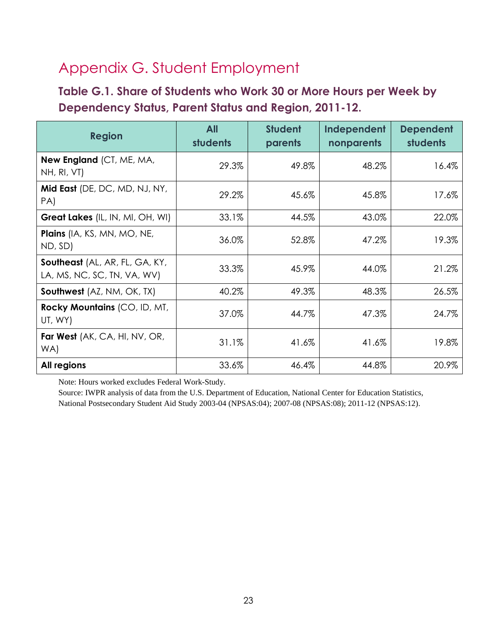# Appendix G. Student Employment

### <span id="page-27-0"></span>**Table G.1. Share of Students who Work 30 or More Hours per Week by Dependency Status, Parent Status and Region, 2011-12.**

| <b>Region</b>                                                 | <b>All</b><br>students | <b>Student</b><br>parents | Independent<br>nonparents | <b>Dependent</b><br>students |
|---------------------------------------------------------------|------------------------|---------------------------|---------------------------|------------------------------|
| New England (CT, ME, MA,<br>NH, RI, VT)                       | 29.3%                  | 49.8%                     | 48.2%                     | 16.4%                        |
| Mid East (DE, DC, MD, NJ, NY,<br>PA)                          | 29.2%                  | 45.6%                     | 45.8%                     | 17.6%                        |
| Great Lakes (IL, IN, MI, OH, WI)                              | 33.1%                  | 44.5%                     | 43.0%                     | 22.0%                        |
| Plains (IA, KS, MN, MO, NE,<br>ND, SD)                        | 36.0%                  | 52.8%                     | 47.2%                     | 19.3%                        |
| Southeast (AL, AR, FL, GA, KY,<br>LA, MS, NC, SC, TN, VA, WV) | 33.3%                  | 45.9%                     | 44.0%                     | 21.2%                        |
| <b>Southwest</b> (AZ, NM, OK, TX)                             | 40.2%                  | 49.3%                     | 48.3%                     | 26.5%                        |
| Rocky Mountains (CO, ID, MT,<br>UT, WY)                       | 37.0%                  | 44.7%                     | 47.3%                     | 24.7%                        |
| Far West (AK, CA, HI, NV, OR,<br>WA)                          | 31.1%                  | 41.6%                     | 41.6%                     | 19.8%                        |
| All regions                                                   | 33.6%                  | 46.4%                     | 44.8%                     | 20.9%                        |

Note: Hours worked excludes Federal Work-Study.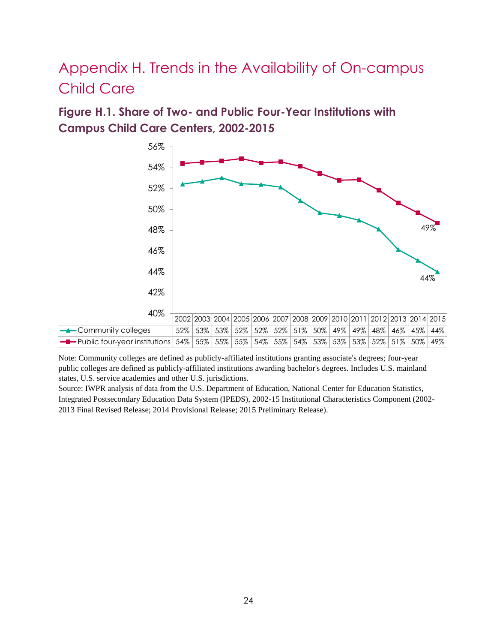# Appendix H. Trends in the Availability of On-campus Child Care

<span id="page-28-0"></span>**Figure H.1. Share of Two- and Public Four-Year Institutions with Campus Child Care Centers, 2002-2015**



Note: Community colleges are defined as publicly-affiliated institutions granting associate's degrees; four-year public colleges are defined as publicly-affiliated institutions awarding bachelor's degrees. Includes U.S. mainland states, U.S. service academies and other U.S. jurisdictions.

Source: IWPR analysis of data from the U.S. Department of Education, National Center for Education Statistics, Integrated Postsecondary Education Data System (IPEDS), 2002-15 Institutional Characteristics Component (2002- 2013 Final Revised Release; 2014 Provisional Release; 2015 Preliminary Release).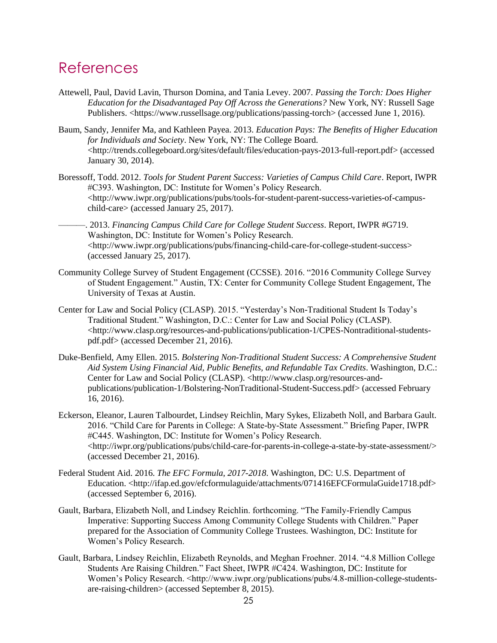### References

- Attewell, Paul, David Lavin, Thurson Domina, and Tania Levey. 2007. *Passing the Torch: Does Higher Education for the Disadvantaged Pay Off Across the Generations?* New York, NY: Russell Sage Publishers. <https://www.russellsage.org/publications/passing-torch> (accessed June 1, 2016).
- Baum, Sandy, Jennifer Ma, and Kathleen Payea. 2013. *Education Pays: The Benefits of Higher Education for Individuals and Society*. New York, NY: The College Board. <http://trends.collegeboard.org/sites/default/files/education-pays-2013-full-report.pdf> (accessed January 30, 2014).
- Boressoff, Todd. 2012. *Tools for Student Parent Success: Varieties of Campus Child Care*. Report, IWPR #C393. Washington, DC: Institute for Women's Policy Research.  $\langle$ http://www.iwpr.org/publications/pubs/tools-for-student-parent-success-varieties-of-campuschild-care> (accessed January 25, 2017).
	- ———. 2013. *Financing Campus Child Care for College Student Success*. Report, IWPR #G719. Washington, DC: Institute for Women's Policy Research. <http://www.iwpr.org/publications/pubs/financing-child-care-for-college-student-success> (accessed January 25, 2017).
- Community College Survey of Student Engagement (CCSSE). 2016. "2016 Community College Survey of Student Engagement." Austin, TX: Center for Community College Student Engagement, The University of Texas at Austin.
- Center for Law and Social Policy (CLASP). 2015. "Yesterday's Non-Traditional Student Is Today's Traditional Student." Washington, D.C.: Center for Law and Social Policy (CLASP). <http://www.clasp.org/resources-and-publications/publication-1/CPES-Nontraditional-studentspdf.pdf> (accessed December 21, 2016).
- Duke-Benfield, Amy Ellen. 2015. *Bolstering Non-Traditional Student Success: A Comprehensive Student Aid System Using Financial Aid, Public Benefits, and Refundable Tax Credits*. Washington, D.C.: Center for Law and Social Policy (CLASP). <http://www.clasp.org/resources-andpublications/publication-1/Bolstering-NonTraditional-Student-Success.pdf> (accessed February 16, 2016).
- Eckerson, Eleanor, Lauren Talbourdet, Lindsey Reichlin, Mary Sykes, Elizabeth Noll, and Barbara Gault. 2016. "Child Care for Parents in College: A State-by-State Assessment." Briefing Paper, IWPR #C445. Washington, DC: Institute for Women's Policy Research. <http://iwpr.org/publications/pubs/child-care-for-parents-in-college-a-state-by-state-assessment/> (accessed December 21, 2016).
- Federal Student Aid. 2016. *The EFC Formula, 2017-2018*. Washington, DC: U.S. Department of Education. <http://ifap.ed.gov/efcformulaguide/attachments/071416EFCFormulaGuide1718.pdf> (accessed September 6, 2016).
- Gault, Barbara, Elizabeth Noll, and Lindsey Reichlin. forthcoming. "The Family-Friendly Campus Imperative: Supporting Success Among Community College Students with Children." Paper prepared for the Association of Community College Trustees. Washington, DC: Institute for Women's Policy Research.
- Gault, Barbara, Lindsey Reichlin, Elizabeth Reynolds, and Meghan Froehner. 2014. "4.8 Million College Students Are Raising Children." Fact Sheet, IWPR #C424. Washington, DC: Institute for Women's Policy Research. <http://www.iwpr.org/publications/pubs/4.8-million-college-studentsare-raising-children> (accessed September 8, 2015).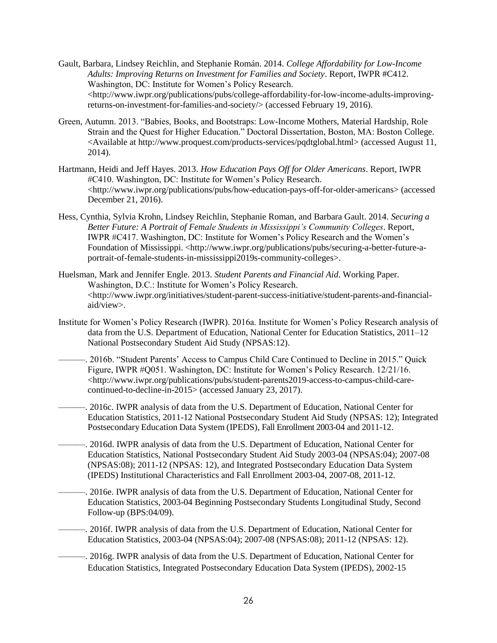Gault, Barbara, Lindsey Reichlin, and Stephanie Román. 2014. *College Affordability for Low-Income Adults: Improving Returns on Investment for Families and Society*. Report, IWPR #C412. Washington, DC: Institute for Women's Policy Research.  $\langle$ http://www.iwpr.org/publications/pubs/college-affordability-for-low-income-adults-improvingreturns-on-investment-for-families-and-society/> (accessed February 19, 2016).

- Green, Autumn. 2013. "Babies, Books, and Bootstraps: Low-Income Mothers, Material Hardship, Role Strain and the Quest for Higher Education." Doctoral Dissertation, Boston, MA: Boston College. <Available at http://www.proquest.com/products-services/pqdtglobal.html> (accessed August 11, 2014).
- Hartmann, Heidi and Jeff Hayes. 2013. *How Education Pays Off for Older Americans*. Report, IWPR #C410. Washington, DC: Institute for Women's Policy Research. <http://www.iwpr.org/publications/pubs/how-education-pays-off-for-older-americans> (accessed December 21, 2016).
- Hess, Cynthia, Sylvia Krohn, Lindsey Reichlin, Stephanie Roman, and Barbara Gault. 2014. *Securing a Better Future: A Portrait of Female Students in Mississippi's Community Colleges*. Report, IWPR #C417. Washington, DC: Institute for Women's Policy Research and the Women's Foundation of Mississippi. <http://www.iwpr.org/publications/pubs/securing-a-better-future-aportrait-of-female-students-in-mississippi2019s-community-colleges>.
- Huelsman, Mark and Jennifer Engle. 2013. *Student Parents and Financial Aid*. Working Paper. Washington, D.C.: Institute for Women's Policy Research. <http://www.iwpr.org/initiatives/student-parent-success-initiative/student-parents-and-financialaid/view>.
- Institute for Women's Policy Research (IWPR). 2016a. Institute for Women's Policy Research analysis of data from the U.S. Department of Education, National Center for Education Statistics, 2011–12 National Postsecondary Student Aid Study (NPSAS:12).
- ———. 2016b. "Student Parents' Access to Campus Child Care Continued to Decline in 2015." Quick Figure, IWPR #Q051. Washington, DC: Institute for Women's Policy Research. 12/21/16. <http://www.iwpr.org/publications/pubs/student-parents2019-access-to-campus-child-carecontinued-to-decline-in-2015> (accessed January 23, 2017).
	- ———. 2016c. IWPR analysis of data from the U.S. Department of Education, National Center for Education Statistics, 2011-12 National Postsecondary Student Aid Study (NPSAS: 12); Integrated Postsecondary Education Data System (IPEDS), Fall Enrollment 2003-04 and 2011-12.
- ———. 2016d. IWPR analysis of data from the U.S. Department of Education, National Center for Education Statistics, National Postsecondary Student Aid Study 2003-04 (NPSAS:04); 2007-08 (NPSAS:08); 2011-12 (NPSAS: 12), and Integrated Postsecondary Education Data System (IPEDS) Institutional Characteristics and Fall Enrollment 2003-04, 2007-08, 2011-12.
- ———. 2016e. IWPR analysis of data from the U.S. Department of Education, National Center for Education Statistics, 2003-04 Beginning Postsecondary Students Longitudinal Study, Second Follow-up (BPS:04/09).
- ———. 2016f. IWPR analysis of data from the U.S. Department of Education, National Center for Education Statistics, 2003-04 (NPSAS:04); 2007-08 (NPSAS:08); 2011-12 (NPSAS: 12).
- ———. 2016g. IWPR analysis of data from the U.S. Department of Education, National Center for Education Statistics, Integrated Postsecondary Education Data System (IPEDS), 2002-15